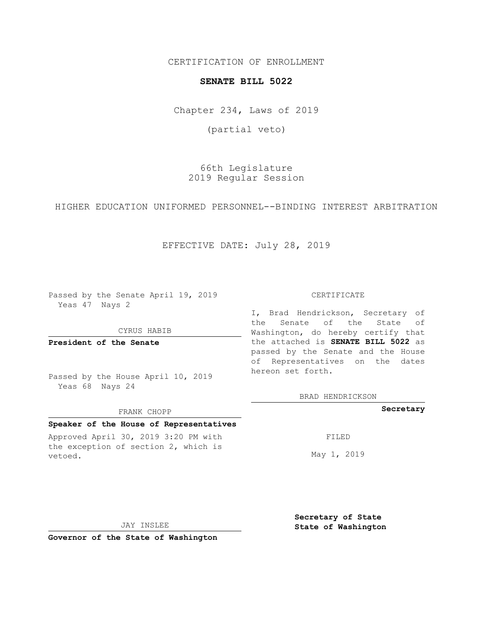CERTIFICATION OF ENROLLMENT

#### **SENATE BILL 5022**

Chapter 234, Laws of 2019

(partial veto)

66th Legislature 2019 Regular Session

HIGHER EDUCATION UNIFORMED PERSONNEL--BINDING INTEREST ARBITRATION

EFFECTIVE DATE: July 28, 2019

Passed by the Senate April 19, 2019 Yeas 47 Nays 2

#### CYRUS HABIB

**President of the Senate**

Passed by the House April 10, 2019 Yeas 68 Nays 24

#### FRANK CHOPP

### **Speaker of the House of Representatives**

Approved April 30, 2019 3:20 PM with the exception of section 2, which is vetoed.

CERTIFICATE

I, Brad Hendrickson, Secretary of the Senate of the State of Washington, do hereby certify that the attached is **SENATE BILL 5022** as passed by the Senate and the House of Representatives on the dates hereon set forth.

BRAD HENDRICKSON

## **Secretary**

FILED

May 1, 2019

JAY INSLEE

**Governor of the State of Washington**

**Secretary of State State of Washington**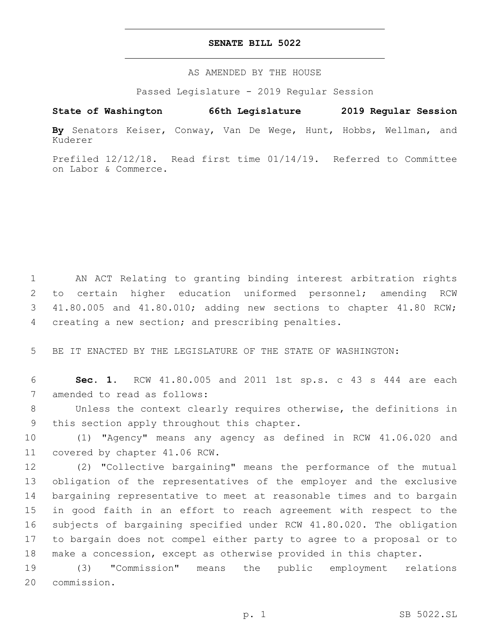## **SENATE BILL 5022**

AS AMENDED BY THE HOUSE

Passed Legislature - 2019 Regular Session

# **State of Washington 66th Legislature 2019 Regular Session**

**By** Senators Keiser, Conway, Van De Wege, Hunt, Hobbs, Wellman, and Kuderer

Prefiled 12/12/18. Read first time 01/14/19. Referred to Committee on Labor & Commerce.

1 AN ACT Relating to granting binding interest arbitration rights 2 to certain higher education uniformed personnel; amending RCW 3 41.80.005 and 41.80.010; adding new sections to chapter 41.80 RCW; 4 creating a new section; and prescribing penalties.

5 BE IT ENACTED BY THE LEGISLATURE OF THE STATE OF WASHINGTON:

6 **Sec. 1.** RCW 41.80.005 and 2011 1st sp.s. c 43 s 444 are each 7 amended to read as follows:

8 Unless the context clearly requires otherwise, the definitions in 9 this section apply throughout this chapter.

10 (1) "Agency" means any agency as defined in RCW 41.06.020 and 11 covered by chapter 41.06 RCW.

 (2) "Collective bargaining" means the performance of the mutual obligation of the representatives of the employer and the exclusive bargaining representative to meet at reasonable times and to bargain in good faith in an effort to reach agreement with respect to the subjects of bargaining specified under RCW 41.80.020. The obligation to bargain does not compel either party to agree to a proposal or to make a concession, except as otherwise provided in this chapter.

19 (3) "Commission" means the public employment relations 20 commission.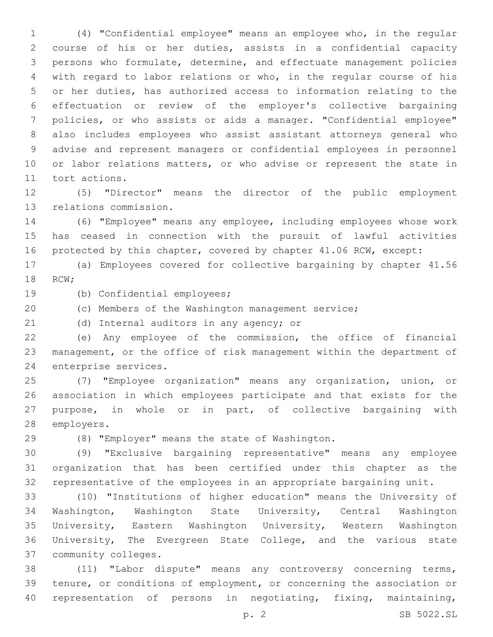(4) "Confidential employee" means an employee who, in the regular course of his or her duties, assists in a confidential capacity persons who formulate, determine, and effectuate management policies with regard to labor relations or who, in the regular course of his or her duties, has authorized access to information relating to the effectuation or review of the employer's collective bargaining policies, or who assists or aids a manager. "Confidential employee" also includes employees who assist assistant attorneys general who advise and represent managers or confidential employees in personnel 10 or labor relations matters, or who advise or represent the state in 11 tort actions.

 (5) "Director" means the director of the public employment 13 relations commission.

 (6) "Employee" means any employee, including employees whose work has ceased in connection with the pursuit of lawful activities 16 protected by this chapter, covered by chapter 41.06 RCW, except:

 (a) Employees covered for collective bargaining by chapter 41.56 18 RCW;

19 (b) Confidential employees;

(c) Members of the Washington management service;

(d) Internal auditors in any agency; or

 (e) Any employee of the commission, the office of financial management, or the office of risk management within the department of 24 enterprise services.

 (7) "Employee organization" means any organization, union, or association in which employees participate and that exists for the purpose, in whole or in part, of collective bargaining with 28 employers.

(8) "Employer" means the state of Washington.29

 (9) "Exclusive bargaining representative" means any employee organization that has been certified under this chapter as the representative of the employees in an appropriate bargaining unit.

 (10) "Institutions of higher education" means the University of Washington, Washington State University, Central Washington University, Eastern Washington University, Western Washington University, The Evergreen State College, and the various state community colleges.37

 (11) "Labor dispute" means any controversy concerning terms, tenure, or conditions of employment, or concerning the association or representation of persons in negotiating, fixing, maintaining,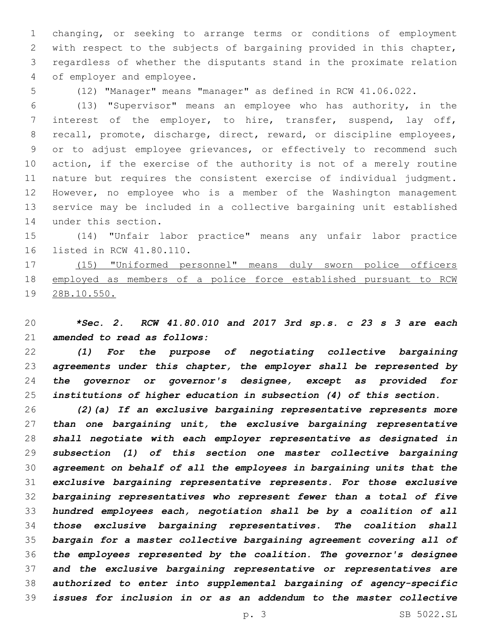changing, or seeking to arrange terms or conditions of employment with respect to the subjects of bargaining provided in this chapter, regardless of whether the disputants stand in the proximate relation 4 of employer and employee.

(12) "Manager" means "manager" as defined in RCW 41.06.022.

 (13) "Supervisor" means an employee who has authority, in the interest of the employer, to hire, transfer, suspend, lay off, recall, promote, discharge, direct, reward, or discipline employees, or to adjust employee grievances, or effectively to recommend such action, if the exercise of the authority is not of a merely routine nature but requires the consistent exercise of individual judgment. However, no employee who is a member of the Washington management service may be included in a collective bargaining unit established 14 under this section.

 (14) "Unfair labor practice" means any unfair labor practice 16 listed in RCW 41.80.110.

 (15) "Uniformed personnel" means duly sworn police officers employed as members of a police force established pursuant to RCW 28B.10.550.

 *\*Sec. 2. RCW 41.80.010 and 2017 3rd sp.s. c 23 s 3 are each amended to read as follows:*

 *(1) For the purpose of negotiating collective bargaining agreements under this chapter, the employer shall be represented by the governor or governor's designee, except as provided for institutions of higher education in subsection (4) of this section.*

 *(2)(a) If an exclusive bargaining representative represents more than one bargaining unit, the exclusive bargaining representative shall negotiate with each employer representative as designated in subsection (1) of this section one master collective bargaining agreement on behalf of all the employees in bargaining units that the exclusive bargaining representative represents. For those exclusive bargaining representatives who represent fewer than a total of five hundred employees each, negotiation shall be by a coalition of all those exclusive bargaining representatives. The coalition shall bargain for a master collective bargaining agreement covering all of the employees represented by the coalition. The governor's designee and the exclusive bargaining representative or representatives are authorized to enter into supplemental bargaining of agency-specific issues for inclusion in or as an addendum to the master collective*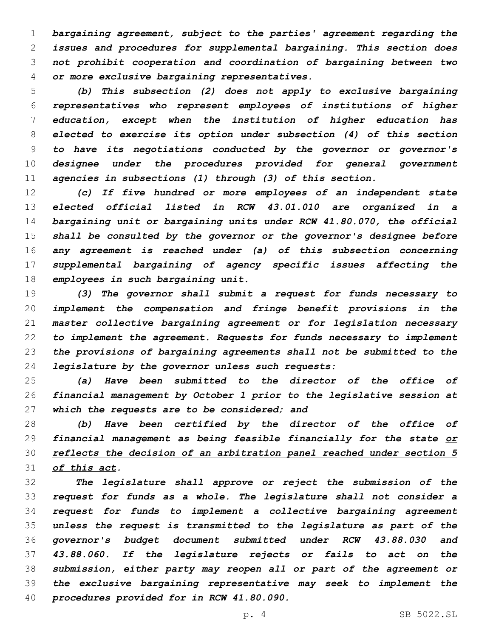*bargaining agreement, subject to the parties' agreement regarding the issues and procedures for supplemental bargaining. This section does not prohibit cooperation and coordination of bargaining between two or more exclusive bargaining representatives.*

 *(b) This subsection (2) does not apply to exclusive bargaining representatives who represent employees of institutions of higher education, except when the institution of higher education has elected to exercise its option under subsection (4) of this section to have its negotiations conducted by the governor or governor's designee under the procedures provided for general government agencies in subsections (1) through (3) of this section.*

 *(c) If five hundred or more employees of an independent state elected official listed in RCW 43.01.010 are organized in a bargaining unit or bargaining units under RCW 41.80.070, the official shall be consulted by the governor or the governor's designee before any agreement is reached under (a) of this subsection concerning supplemental bargaining of agency specific issues affecting the employees in such bargaining unit.*

 *(3) The governor shall submit a request for funds necessary to implement the compensation and fringe benefit provisions in the master collective bargaining agreement or for legislation necessary to implement the agreement. Requests for funds necessary to implement the provisions of bargaining agreements shall not be submitted to the legislature by the governor unless such requests:*

 *(a) Have been submitted to the director of the office of financial management by October 1 prior to the legislative session at which the requests are to be considered; and*

 *(b) Have been certified by the director of the office of financial management as being feasible financially for the state or reflects the decision of an arbitration panel reached under section 5 of this act.*

 *The legislature shall approve or reject the submission of the request for funds as a whole. The legislature shall not consider a request for funds to implement a collective bargaining agreement unless the request is transmitted to the legislature as part of the governor's budget document submitted under RCW 43.88.030 and 43.88.060. If the legislature rejects or fails to act on the submission, either party may reopen all or part of the agreement or the exclusive bargaining representative may seek to implement the procedures provided for in RCW 41.80.090.*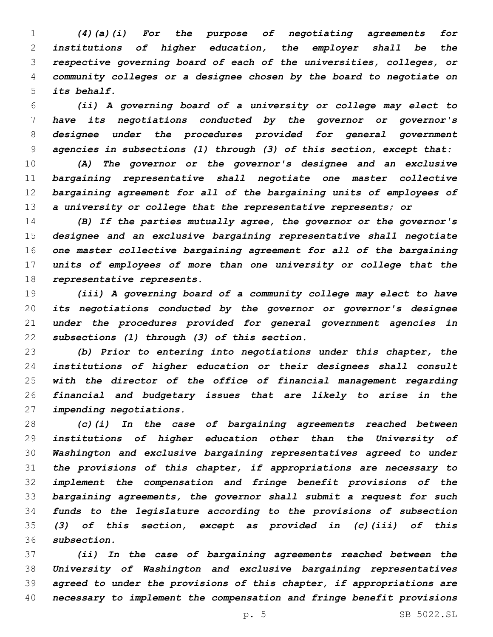*(4)(a)(i) For the purpose of negotiating agreements for institutions of higher education, the employer shall be the respective governing board of each of the universities, colleges, or community colleges or a designee chosen by the board to negotiate on its behalf.*

 *(ii) A governing board of a university or college may elect to have its negotiations conducted by the governor or governor's designee under the procedures provided for general government agencies in subsections (1) through (3) of this section, except that:*

 *(A) The governor or the governor's designee and an exclusive bargaining representative shall negotiate one master collective bargaining agreement for all of the bargaining units of employees of a university or college that the representative represents; or*

 *(B) If the parties mutually agree, the governor or the governor's designee and an exclusive bargaining representative shall negotiate one master collective bargaining agreement for all of the bargaining units of employees of more than one university or college that the representative represents.*

 *(iii) A governing board of a community college may elect to have its negotiations conducted by the governor or governor's designee under the procedures provided for general government agencies in subsections (1) through (3) of this section.*

 *(b) Prior to entering into negotiations under this chapter, the institutions of higher education or their designees shall consult with the director of the office of financial management regarding financial and budgetary issues that are likely to arise in the impending negotiations.*

 *(c)(i) In the case of bargaining agreements reached between institutions of higher education other than the University of Washington and exclusive bargaining representatives agreed to under the provisions of this chapter, if appropriations are necessary to implement the compensation and fringe benefit provisions of the bargaining agreements, the governor shall submit a request for such funds to the legislature according to the provisions of subsection (3) of this section, except as provided in (c)(iii) of this subsection.*

 *(ii) In the case of bargaining agreements reached between the University of Washington and exclusive bargaining representatives agreed to under the provisions of this chapter, if appropriations are necessary to implement the compensation and fringe benefit provisions*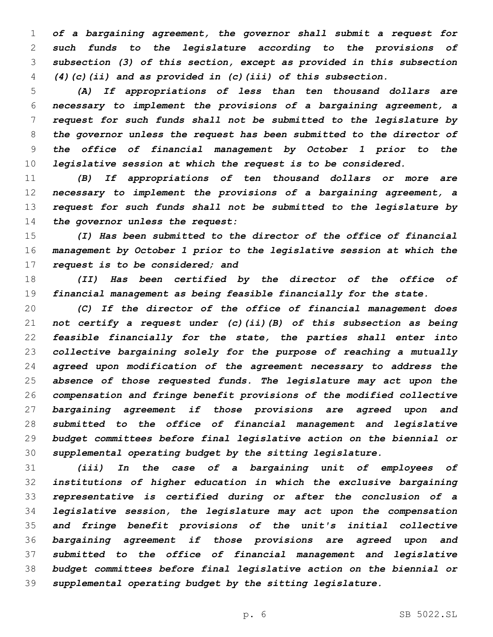*of a bargaining agreement, the governor shall submit a request for such funds to the legislature according to the provisions of subsection (3) of this section, except as provided in this subsection (4)(c)(ii) and as provided in (c)(iii) of this subsection.*

 *(A) If appropriations of less than ten thousand dollars are necessary to implement the provisions of a bargaining agreement, a request for such funds shall not be submitted to the legislature by the governor unless the request has been submitted to the director of the office of financial management by October 1 prior to the legislative session at which the request is to be considered.*

 *(B) If appropriations of ten thousand dollars or more are necessary to implement the provisions of a bargaining agreement, a request for such funds shall not be submitted to the legislature by the governor unless the request:*

 *(I) Has been submitted to the director of the office of financial management by October 1 prior to the legislative session at which the request is to be considered; and*

 *(II) Has been certified by the director of the office of financial management as being feasible financially for the state.*

 *(C) If the director of the office of financial management does not certify a request under (c)(ii)(B) of this subsection as being feasible financially for the state, the parties shall enter into collective bargaining solely for the purpose of reaching a mutually agreed upon modification of the agreement necessary to address the absence of those requested funds. The legislature may act upon the compensation and fringe benefit provisions of the modified collective bargaining agreement if those provisions are agreed upon and submitted to the office of financial management and legislative budget committees before final legislative action on the biennial or supplemental operating budget by the sitting legislature.*

 *(iii) In the case of a bargaining unit of employees of institutions of higher education in which the exclusive bargaining representative is certified during or after the conclusion of a legislative session, the legislature may act upon the compensation and fringe benefit provisions of the unit's initial collective bargaining agreement if those provisions are agreed upon and submitted to the office of financial management and legislative budget committees before final legislative action on the biennial or supplemental operating budget by the sitting legislature.*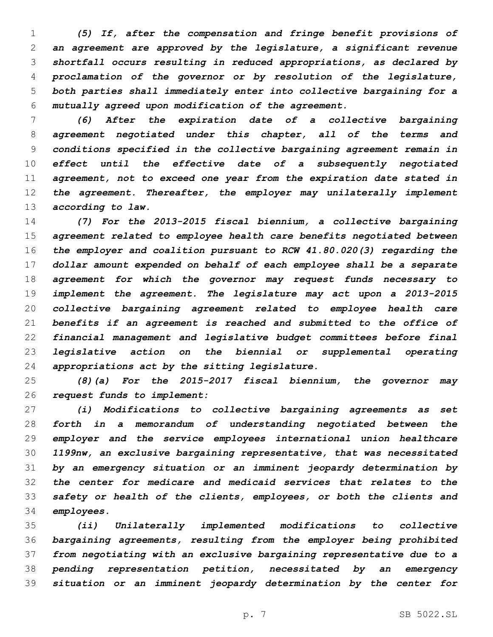*(5) If, after the compensation and fringe benefit provisions of an agreement are approved by the legislature, a significant revenue shortfall occurs resulting in reduced appropriations, as declared by proclamation of the governor or by resolution of the legislature, both parties shall immediately enter into collective bargaining for a mutually agreed upon modification of the agreement.*

 *(6) After the expiration date of a collective bargaining agreement negotiated under this chapter, all of the terms and conditions specified in the collective bargaining agreement remain in effect until the effective date of a subsequently negotiated agreement, not to exceed one year from the expiration date stated in the agreement. Thereafter, the employer may unilaterally implement according to law.*

 *(7) For the 2013-2015 fiscal biennium, a collective bargaining agreement related to employee health care benefits negotiated between the employer and coalition pursuant to RCW 41.80.020(3) regarding the dollar amount expended on behalf of each employee shall be a separate agreement for which the governor may request funds necessary to implement the agreement. The legislature may act upon a 2013-2015 collective bargaining agreement related to employee health care benefits if an agreement is reached and submitted to the office of financial management and legislative budget committees before final legislative action on the biennial or supplemental operating appropriations act by the sitting legislature.*

 *(8)(a) For the 2015-2017 fiscal biennium, the governor may request funds to implement:*

 *(i) Modifications to collective bargaining agreements as set forth in a memorandum of understanding negotiated between the employer and the service employees international union healthcare 1199nw, an exclusive bargaining representative, that was necessitated by an emergency situation or an imminent jeopardy determination by the center for medicare and medicaid services that relates to the safety or health of the clients, employees, or both the clients and employees.*

 *(ii) Unilaterally implemented modifications to collective bargaining agreements, resulting from the employer being prohibited from negotiating with an exclusive bargaining representative due to a pending representation petition, necessitated by an emergency situation or an imminent jeopardy determination by the center for*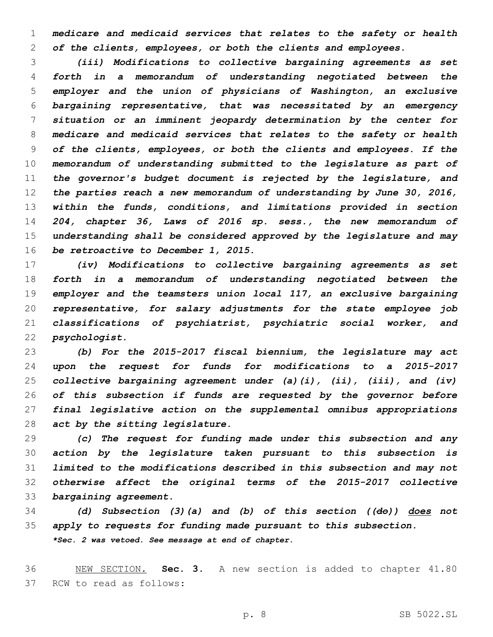*medicare and medicaid services that relates to the safety or health of the clients, employees, or both the clients and employees.*

 *(iii) Modifications to collective bargaining agreements as set forth in a memorandum of understanding negotiated between the employer and the union of physicians of Washington, an exclusive bargaining representative, that was necessitated by an emergency situation or an imminent jeopardy determination by the center for medicare and medicaid services that relates to the safety or health of the clients, employees, or both the clients and employees. If the memorandum of understanding submitted to the legislature as part of the governor's budget document is rejected by the legislature, and the parties reach a new memorandum of understanding by June 30, 2016, within the funds, conditions, and limitations provided in section 204, chapter 36, Laws of 2016 sp. sess., the new memorandum of understanding shall be considered approved by the legislature and may be retroactive to December 1, 2015.*

 *(iv) Modifications to collective bargaining agreements as set forth in a memorandum of understanding negotiated between the employer and the teamsters union local 117, an exclusive bargaining representative, for salary adjustments for the state employee job classifications of psychiatrist, psychiatric social worker, and psychologist.*

 *(b) For the 2015-2017 fiscal biennium, the legislature may act upon the request for funds for modifications to a 2015-2017 collective bargaining agreement under (a)(i), (ii), (iii), and (iv) of this subsection if funds are requested by the governor before final legislative action on the supplemental omnibus appropriations act by the sitting legislature.*

 *(c) The request for funding made under this subsection and any action by the legislature taken pursuant to this subsection is limited to the modifications described in this subsection and may not otherwise affect the original terms of the 2015-2017 collective bargaining agreement.*

 *(d) Subsection (3)(a) and (b) of this section ((do)) does not apply to requests for funding made pursuant to this subsection. \*Sec. 2 was vetoed. See message at end of chapter.*

 NEW SECTION. **Sec. 3.** A new section is added to chapter 41.80 37 RCW to read as follows: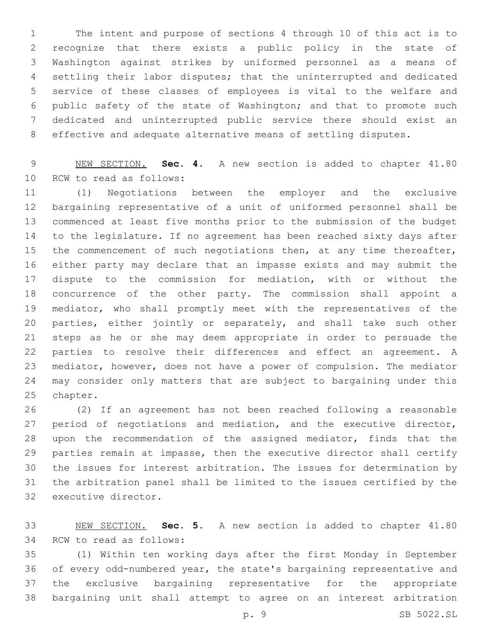The intent and purpose of sections 4 through 10 of this act is to recognize that there exists a public policy in the state of Washington against strikes by uniformed personnel as a means of settling their labor disputes; that the uninterrupted and dedicated service of these classes of employees is vital to the welfare and public safety of the state of Washington; and that to promote such dedicated and uninterrupted public service there should exist an effective and adequate alternative means of settling disputes.

 NEW SECTION. **Sec. 4.** A new section is added to chapter 41.80 10 RCW to read as follows:

 (1) Negotiations between the employer and the exclusive bargaining representative of a unit of uniformed personnel shall be commenced at least five months prior to the submission of the budget to the legislature. If no agreement has been reached sixty days after 15 the commencement of such negotiations then, at any time thereafter, either party may declare that an impasse exists and may submit the dispute to the commission for mediation, with or without the concurrence of the other party. The commission shall appoint a mediator, who shall promptly meet with the representatives of the 20 parties, either jointly or separately, and shall take such other steps as he or she may deem appropriate in order to persuade the parties to resolve their differences and effect an agreement. A mediator, however, does not have a power of compulsion. The mediator may consider only matters that are subject to bargaining under this 25 chapter.

 (2) If an agreement has not been reached following a reasonable 27 period of negotiations and mediation, and the executive director, upon the recommendation of the assigned mediator, finds that the parties remain at impasse, then the executive director shall certify the issues for interest arbitration. The issues for determination by the arbitration panel shall be limited to the issues certified by the 32 executive director.

 NEW SECTION. **Sec. 5.** A new section is added to chapter 41.80 34 RCW to read as follows:

 (1) Within ten working days after the first Monday in September of every odd-numbered year, the state's bargaining representative and the exclusive bargaining representative for the appropriate bargaining unit shall attempt to agree on an interest arbitration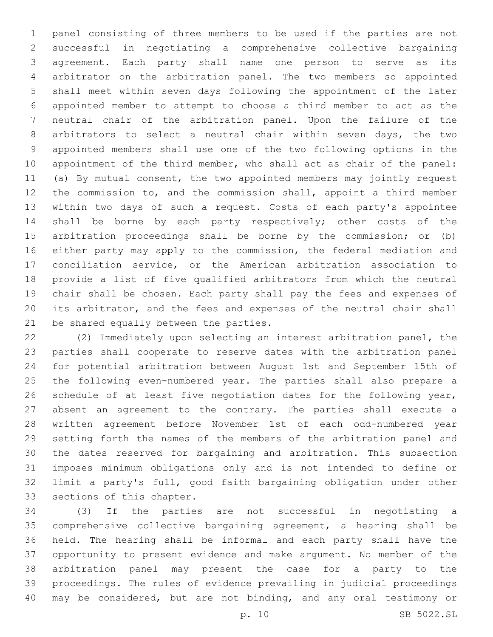panel consisting of three members to be used if the parties are not successful in negotiating a comprehensive collective bargaining agreement. Each party shall name one person to serve as its arbitrator on the arbitration panel. The two members so appointed shall meet within seven days following the appointment of the later appointed member to attempt to choose a third member to act as the neutral chair of the arbitration panel. Upon the failure of the arbitrators to select a neutral chair within seven days, the two appointed members shall use one of the two following options in the appointment of the third member, who shall act as chair of the panel: (a) By mutual consent, the two appointed members may jointly request the commission to, and the commission shall, appoint a third member within two days of such a request. Costs of each party's appointee shall be borne by each party respectively; other costs of the arbitration proceedings shall be borne by the commission; or (b) either party may apply to the commission, the federal mediation and conciliation service, or the American arbitration association to provide a list of five qualified arbitrators from which the neutral chair shall be chosen. Each party shall pay the fees and expenses of its arbitrator, and the fees and expenses of the neutral chair shall 21 be shared equally between the parties.

 (2) Immediately upon selecting an interest arbitration panel, the parties shall cooperate to reserve dates with the arbitration panel for potential arbitration between August 1st and September 15th of the following even-numbered year. The parties shall also prepare a 26 schedule of at least five negotiation dates for the following year, absent an agreement to the contrary. The parties shall execute a written agreement before November 1st of each odd-numbered year setting forth the names of the members of the arbitration panel and the dates reserved for bargaining and arbitration. This subsection imposes minimum obligations only and is not intended to define or limit a party's full, good faith bargaining obligation under other 33 sections of this chapter.

 (3) If the parties are not successful in negotiating a comprehensive collective bargaining agreement, a hearing shall be held. The hearing shall be informal and each party shall have the opportunity to present evidence and make argument. No member of the arbitration panel may present the case for a party to the proceedings. The rules of evidence prevailing in judicial proceedings may be considered, but are not binding, and any oral testimony or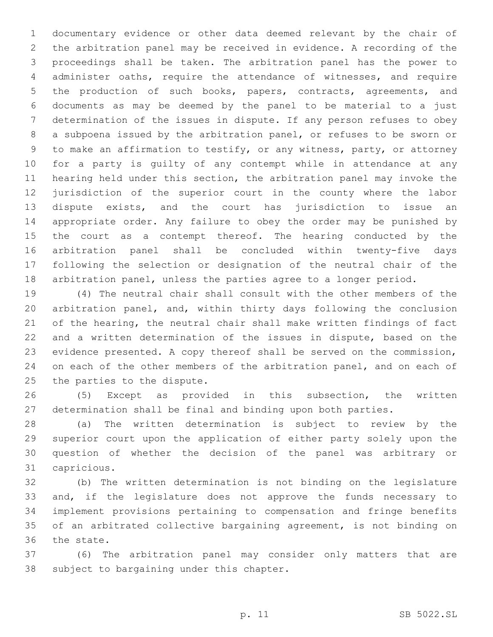documentary evidence or other data deemed relevant by the chair of the arbitration panel may be received in evidence. A recording of the proceedings shall be taken. The arbitration panel has the power to administer oaths, require the attendance of witnesses, and require the production of such books, papers, contracts, agreements, and documents as may be deemed by the panel to be material to a just determination of the issues in dispute. If any person refuses to obey a subpoena issued by the arbitration panel, or refuses to be sworn or to make an affirmation to testify, or any witness, party, or attorney for a party is guilty of any contempt while in attendance at any hearing held under this section, the arbitration panel may invoke the jurisdiction of the superior court in the county where the labor dispute exists, and the court has jurisdiction to issue an appropriate order. Any failure to obey the order may be punished by 15 the court as a contempt thereof. The hearing conducted by the arbitration panel shall be concluded within twenty-five days following the selection or designation of the neutral chair of the arbitration panel, unless the parties agree to a longer period.

 (4) The neutral chair shall consult with the other members of the arbitration panel, and, within thirty days following the conclusion of the hearing, the neutral chair shall make written findings of fact and a written determination of the issues in dispute, based on the evidence presented. A copy thereof shall be served on the commission, on each of the other members of the arbitration panel, and on each of 25 the parties to the dispute.

 (5) Except as provided in this subsection, the written determination shall be final and binding upon both parties.

 (a) The written determination is subject to review by the superior court upon the application of either party solely upon the question of whether the decision of the panel was arbitrary or capricious.31

 (b) The written determination is not binding on the legislature and, if the legislature does not approve the funds necessary to implement provisions pertaining to compensation and fringe benefits of an arbitrated collective bargaining agreement, is not binding on 36 the state.

 (6) The arbitration panel may consider only matters that are 38 subject to bargaining under this chapter.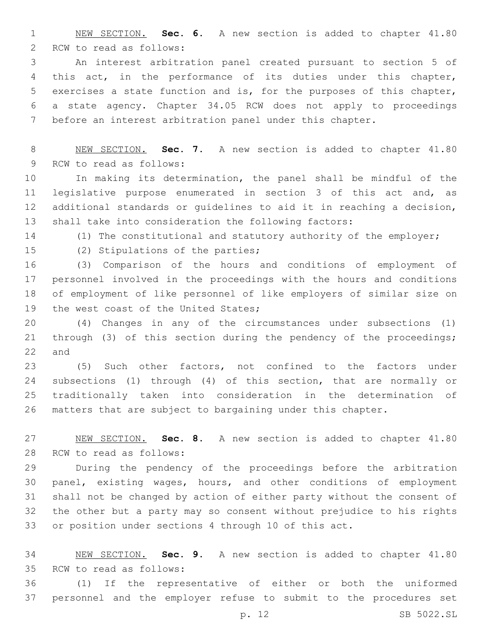NEW SECTION. **Sec. 6.** A new section is added to chapter 41.80 2 RCW to read as follows:

 An interest arbitration panel created pursuant to section 5 of this act, in the performance of its duties under this chapter, exercises a state function and is, for the purposes of this chapter, a state agency. Chapter 34.05 RCW does not apply to proceedings before an interest arbitration panel under this chapter.

 NEW SECTION. **Sec. 7.** A new section is added to chapter 41.80 9 RCW to read as follows:

 In making its determination, the panel shall be mindful of the legislative purpose enumerated in section 3 of this act and, as additional standards or guidelines to aid it in reaching a decision, shall take into consideration the following factors:

(1) The constitutional and statutory authority of the employer;

15 (2) Stipulations of the parties;

 (3) Comparison of the hours and conditions of employment of personnel involved in the proceedings with the hours and conditions of employment of like personnel of like employers of similar size on 19 the west coast of the United States;

 (4) Changes in any of the circumstances under subsections (1) through (3) of this section during the pendency of the proceedings; and

 (5) Such other factors, not confined to the factors under subsections (1) through (4) of this section, that are normally or traditionally taken into consideration in the determination of matters that are subject to bargaining under this chapter.

 NEW SECTION. **Sec. 8.** A new section is added to chapter 41.80 28 RCW to read as follows:

 During the pendency of the proceedings before the arbitration panel, existing wages, hours, and other conditions of employment shall not be changed by action of either party without the consent of the other but a party may so consent without prejudice to his rights or position under sections 4 through 10 of this act.

 NEW SECTION. **Sec. 9.** A new section is added to chapter 41.80 35 RCW to read as follows:

 (1) If the representative of either or both the uniformed personnel and the employer refuse to submit to the procedures set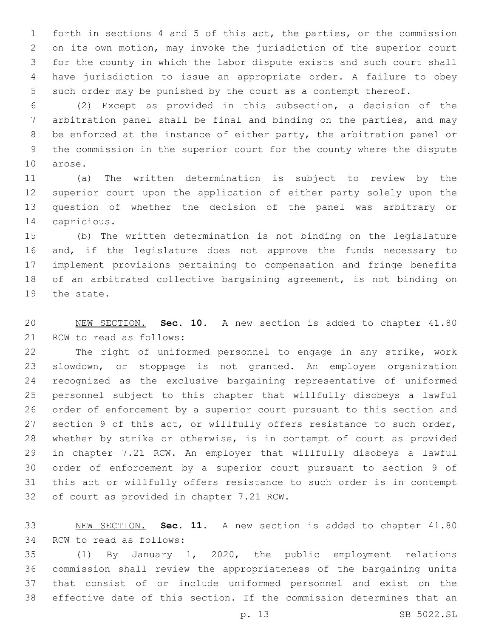forth in sections 4 and 5 of this act, the parties, or the commission on its own motion, may invoke the jurisdiction of the superior court for the county in which the labor dispute exists and such court shall have jurisdiction to issue an appropriate order. A failure to obey such order may be punished by the court as a contempt thereof.

 (2) Except as provided in this subsection, a decision of the arbitration panel shall be final and binding on the parties, and may be enforced at the instance of either party, the arbitration panel or the commission in the superior court for the county where the dispute 10 arose.

 (a) The written determination is subject to review by the superior court upon the application of either party solely upon the question of whether the decision of the panel was arbitrary or capricious.14

 (b) The written determination is not binding on the legislature 16 and, if the legislature does not approve the funds necessary to implement provisions pertaining to compensation and fringe benefits 18 of an arbitrated collective bargaining agreement, is not binding on 19 the state.

 NEW SECTION. **Sec. 10.** A new section is added to chapter 41.80 21 RCW to read as follows:

 The right of uniformed personnel to engage in any strike, work slowdown, or stoppage is not granted. An employee organization recognized as the exclusive bargaining representative of uniformed personnel subject to this chapter that willfully disobeys a lawful order of enforcement by a superior court pursuant to this section and section 9 of this act, or willfully offers resistance to such order, whether by strike or otherwise, is in contempt of court as provided in chapter 7.21 RCW. An employer that willfully disobeys a lawful order of enforcement by a superior court pursuant to section 9 of this act or willfully offers resistance to such order is in contempt 32 of court as provided in chapter 7.21 RCW.

 NEW SECTION. **Sec. 11.** A new section is added to chapter 41.80 34 RCW to read as follows:

 (1) By January 1, 2020, the public employment relations commission shall review the appropriateness of the bargaining units that consist of or include uniformed personnel and exist on the effective date of this section. If the commission determines that an

p. 13 SB 5022.SL